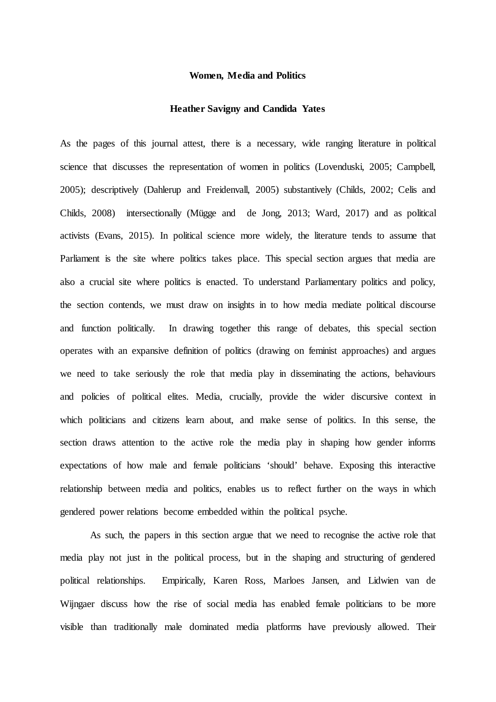## **Women, Media and Politics**

## **Heather Savigny and Candida Yates**

As the pages of this journal attest, there is a necessary, wide ranging literature in political science that discusses the representation of women in politics (Lovenduski, 2005; Campbell, 2005); descriptively (Dahlerup and Freidenvall, 2005) substantively (Childs, 2002; Celis and Childs, 2008) intersectionally (Mügge and de Jong, 2013; Ward, 2017) and as political activists (Evans, 2015). In political science more widely, the literature tends to assume that Parliament is the site where politics takes place. This special section argues that media are also a crucial site where politics is enacted. To understand Parliamentary politics and policy, the section contends, we must draw on insights in to how media mediate political discourse and function politically. In drawing together this range of debates, this special section operates with an expansive definition of politics (drawing on feminist approaches) and argues we need to take seriously the role that media play in disseminating the actions, behaviours and policies of political elites. Media, crucially, provide the wider discursive context in which politicians and citizens learn about, and make sense of politics. In this sense, the section draws attention to the active role the media play in shaping how gender informs expectations of how male and female politicians 'should' behave. Exposing this interactive relationship between media and politics, enables us to reflect further on the ways in which gendered power relations become embedded within the political psyche.

As such, the papers in this section argue that we need to recognise the active role that media play not just in the political process, but in the shaping and structuring of gendered political relationships. Empirically, Karen Ross, Marloes Jansen, and Lidwien van de Wijngaer discuss how the rise of social media has enabled female politicians to be more visible than traditionally male dominated media platforms have previously allowed. Their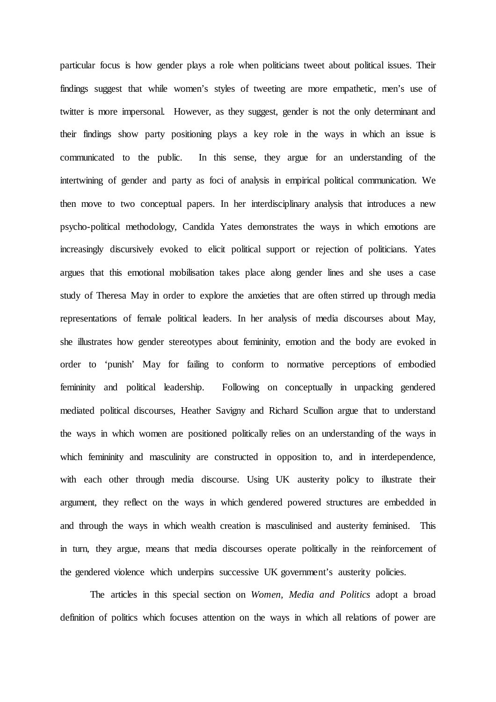particular focus is how gender plays a role when politicians tweet about political issues. Their findings suggest that while women's styles of tweeting are more empathetic, men's use of twitter is more impersonal. However, as they suggest, gender is not the only determinant and their findings show party positioning plays a key role in the ways in which an issue is communicated to the public. In this sense, they argue for an understanding of the intertwining of gender and party as foci of analysis in empirical political communication. We then move to two conceptual papers. In her interdisciplinary analysis that introduces a new psycho-political methodology, Candida Yates demonstrates the ways in which emotions are increasingly discursively evoked to elicit political support or rejection of politicians. Yates argues that this emotional mobilisation takes place along gender lines and she uses a case study of Theresa May in order to explore the anxieties that are often stirred up through media representations of female political leaders. In her analysis of media discourses about May, she illustrates how gender stereotypes about femininity, emotion and the body are evoked in order to 'punish' May for failing to conform to normative perceptions of embodied femininity and political leadership. Following on conceptually in unpacking gendered mediated political discourses, Heather Savigny and Richard Scullion argue that to understand the ways in which women are positioned politically relies on an understanding of the ways in which femininity and masculinity are constructed in opposition to, and in interdependence, with each other through media discourse. Using UK austerity policy to illustrate their argument, they reflect on the ways in which gendered powered structures are embedded in and through the ways in which wealth creation is masculinised and austerity feminised. This in turn, they argue, means that media discourses operate politically in the reinforcement of the gendered violence which underpins successive UK government's austerity policies.

The articles in this special section on *Women, Media and Politics* adopt a broad definition of politics which focuses attention on the ways in which all relations of power are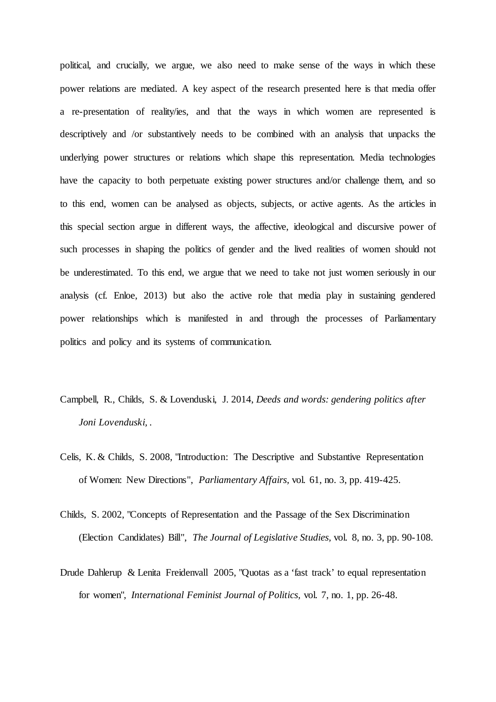political, and crucially, we argue, we also need to make sense of the ways in which these power relations are mediated. A key aspect of the research presented here is that media offer a re-presentation of reality/ies, and that the ways in which women are represented is descriptively and /or substantively needs to be combined with an analysis that unpacks the underlying power structures or relations which shape this representation. Media technologies have the capacity to both perpetuate existing power structures and/or challenge them, and so to this end, women can be analysed as objects, subjects, or active agents. As the articles in this special section argue in different ways, the affective, ideological and discursive power of such processes in shaping the politics of gender and the lived realities of women should not be underestimated. To this end, we argue that we need to take not just women seriously in our analysis (cf. Enloe, 2013) but also the active role that media play in sustaining gendered power relationships which is manifested in and through the processes of Parliamentary politics and policy and its systems of communication.

- Campbell, R., Childs, S. & Lovenduski, J. 2014, *Deeds and words: gendering politics after Joni Lovenduski,* .
- Celis, K. & Childs, S. 2008, "Introduction: The Descriptive and Substantive Representation of Women: New Directions", *Parliamentary Affairs,* vol. 61, no. 3, pp. 419-425.
- Childs, S. 2002, "Concepts of Representation and the Passage of the Sex Discrimination (Election Candidates) Bill", *The Journal of Legislative Studies,* vol. 8, no. 3, pp. 90-108.
- Drude Dahlerup & Lenita Freidenvall 2005, "Quotas as a 'fast track' to equal representation for women", *International Feminist Journal of Politics,* vol. 7, no. 1, pp. 26-48.